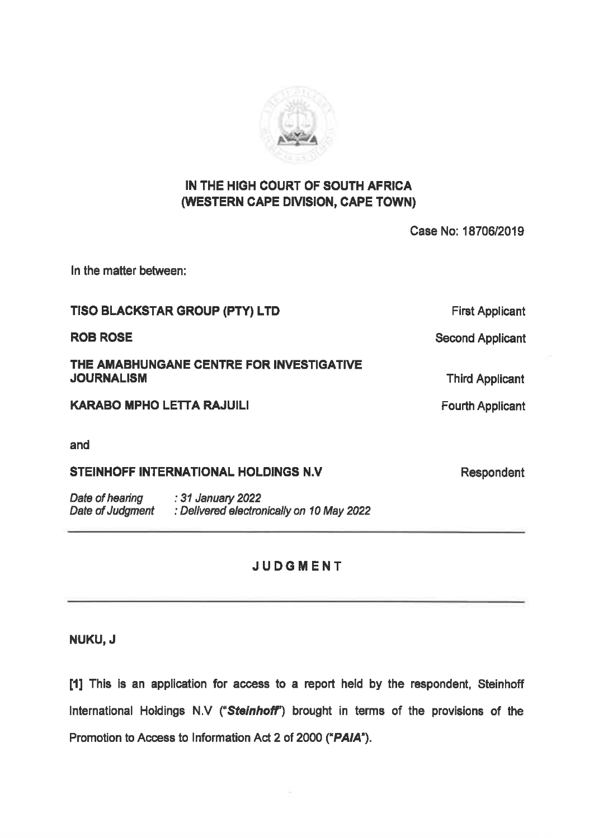

## IN THE HIGH COURT OF SOUTH AFRICA (WESTERN CAPE DIVISION, CAPE TOWN)

Case No: 1870612019

In the matter between:

TISO BLACKSTAR GROUP (PTY) LTD First Applicant ROB ROSE Second Applicant THE AMABHUNGANE CENTRE FOR INVESTIGATIVE<br>JOURNALISM Third Applicant KARABO MPHO LETTA RAJUILI **Example 2018** Fourth Applicant and STEINHOFF INTERNATIONAL HOLDINGS N.V Respondent

Date of hearing 31 January 2022<br>Date of Judgment : Delivered electronically on 10 May 2022

## JUDGMENT

NUKU, J

[1] This is an application for access to a report held by the respondent, Steinhoff International Holdings N.V ("Steinhoff") brought in terms of the provisions of the Promotion to Access to Information Act 2 of 2000 ("PAIA").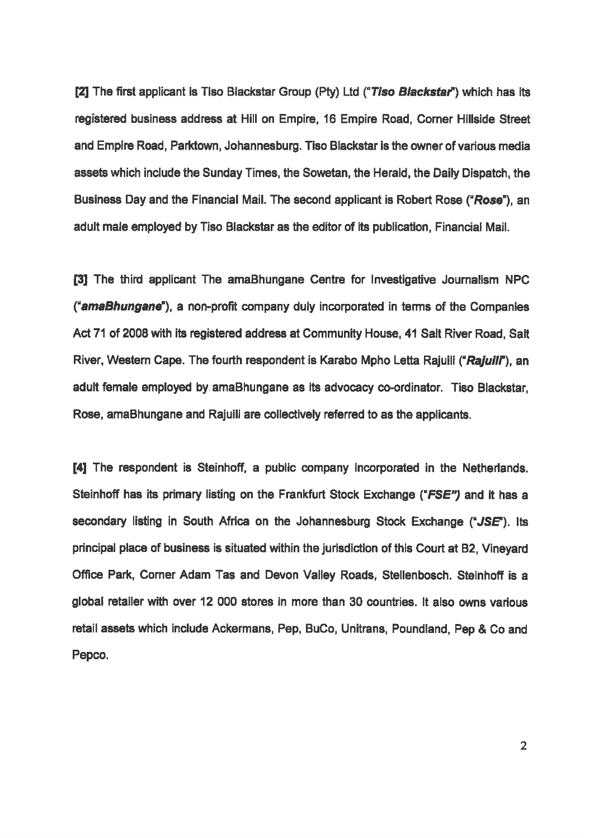[2] The first applicant is Tiso Blackstar Group (Pty) Ltd ("Tiso Blackstar") which has its registered business address at Hill on Empire, 16 Empire Road, Comer Hillside Street and Empire Road, Parktown, Johannesburg. Tiso Blackstar is the owner of various media assets which include the Sunday Times, the Sowetan, the Herald, the Daily Dispatch, the Business Day and the Financial Mail. The second applicant is Robert Rose ("Rose"), an 'adult male employed by Tiso Blackstar as the editor of its publication, Financial Mail.

[3] The third applicant The amaBhungane Centre for Investigative Journalism NPC ("amaBhungane"), a non-profit company duly incorporated in terms of the Companies Act71 of 2008 with its registered address at Community House, 41 Salt River Road, Salt River, Western Cape. The fourth respondent is Karabo Mpho Letta Rajuili ("Rajuili"), an adult female employed by amaBhungane as its advocacy co-ordinator. Tiso Blackstar, Rose, amaBhungane and Rajuill are collectively referred to as the applicants.

[4] The respondent is Steinhoff, a public company incorporated in the Netherlands. Steinhoff has its primary listing on the Frankfurt Stock Exchange ("FSE") and it has a secondary listing in South Africa on the Johannesburg Stock Exchange (" $JSE$ "). Its principal place of business is situated within the jurisdiction of this Court at B2, Vineyard Office Park, Comer Adam Tas and Devon Valley Roads, Stellenbosch. Steinhoff is a global retailer with over 12 000 stores in more than 30 countries. It also owns various. retall assets which include Ackermans, Pep, BuCo, Unitrans, Poundiand, Pep & Co and Pepco.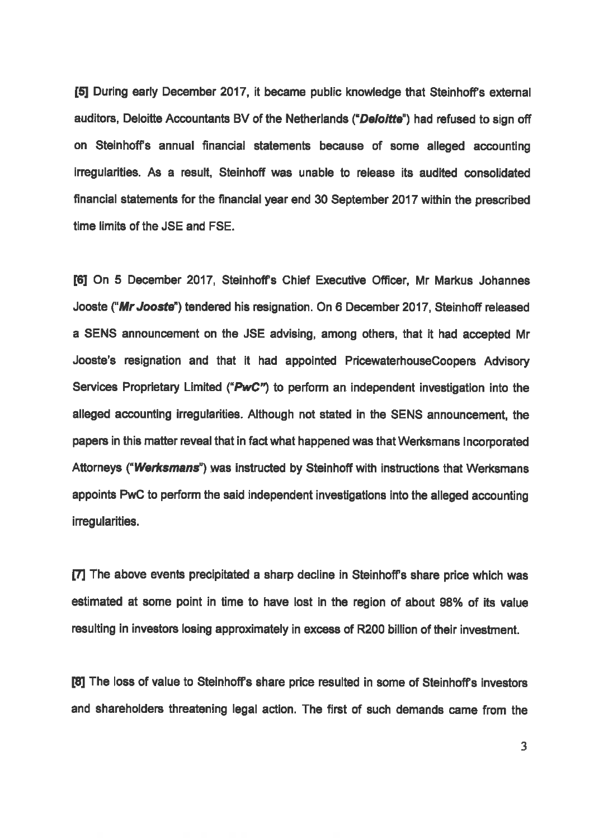15] During early December 2017, it became public knowledge that Steinhoffs extemal auditors, Deloitte Accountants BV of the Netherlands ("Deloitte") had refused to sign off on Steinhoffs annual financial statements because of some alleged accounting irregularities. As a result, Steinhoff was unable to release its audited consolidated financial statements for the financial year end 30 September 2017 within the prescribed time limits of the JSE and FSE.

[6] On 5 December 2017, Steinhoffs Chief Executive Officer, Mr Markus Johannes Jooste ("Mr Jooste") tendered his resignation. On 6 December 2017, Steinhoff released a SENS announcement on the JSE advising, among others, that it had accepted Mr Jooste's resignation and that it had appointed PricewaterhouseCoopers Advisory Services Proprietary Limited ("PwC") to perform an independent investigation into the alleged accounting irregularities. Although not stated in the SENS announcement, the papers in this matter reveal that infact what happened was that Werksmans Incorporated Attormeys (\*Werksmans') was instructed by Steinhoff with instructions that Werksmans appoints PWC to perform the sald independent investigations into the alleged accounting imegularities.

[7] The above events precipitated a sharp decline in Steinhoffs share price which was estimated at some point in time to have lost in the region of about 98% of its value resulting in investors losing approximately in excess of R200 bilion of their investment.

[8] The loss of value to Steinhoffs share price resulted in some of Steinhoffs investors and shareholders threatening legal action. The first of such demands came from the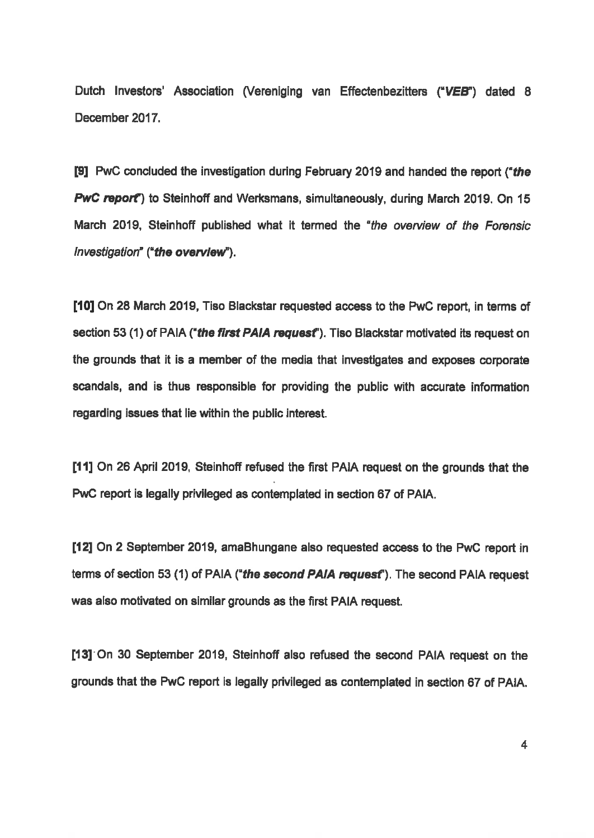Dutch Investors' Association (Vereniging van Effectenbezitters ("VEB") dated 8 December 2017.

[9] PWC concluded the investigation during February 2019 and handed the report ("the PwC report") to Steinhoff and Werksmans, simultaneously, during March 2019. On 15 March 2019, Steinhoff published what it termed the "the overview of the Forensic Investigation" ("the overview").

[10] On 28 March 2018, Tiso Blackstar requested access to the PWC report, in terms of section 53 (1) of PAIA ("the first PAIA request"). Tiso Blackstar motivated its request on the grounds that it is a member of the media that investigates and exposes corporate scandals, and is thus responsible for providing the public with accurate information regarding issues that lie within the public interest.

[11] On 26 April 2019, Steinhoff refused the first PAIA request on the grounds that the PWC report is legally privileged as contemplated in section 67 of PAIA.

[12] On 2 September 2019, amaBhungane also requested access to the PWC report in terms of section 53 (1) of PAIA ("the second PAIA request"). The second PAIA request was also motivated on similar grounds as the first PAIA request.

[13] On 30 September 2019, Steinhoff also refused the second PAIA request on the grounds that the PwC report is legally privileged as contemplated in section 67 of PAIA.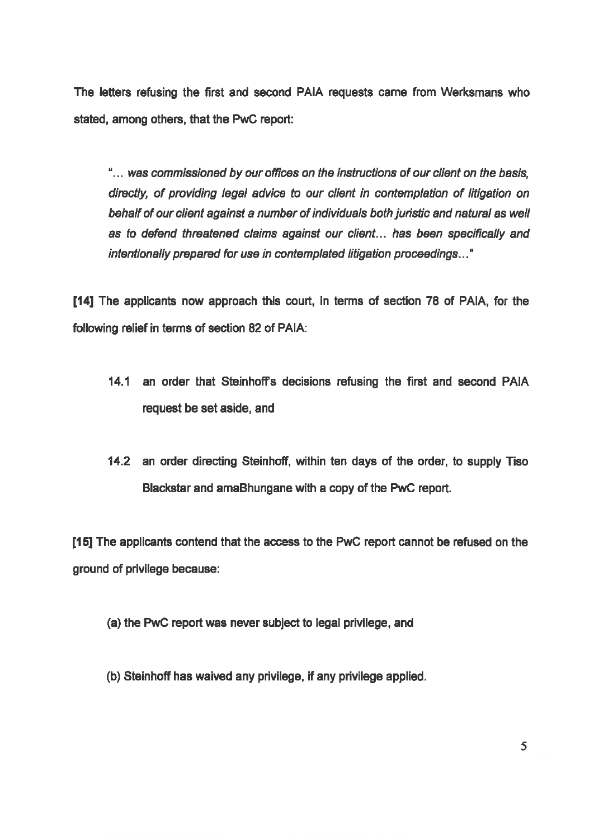The letters refusing the first and second PAIA requests came from Werksmans who stated, among others, that the PWC report:

"... was commissioned by our offices on the instructions of our client on the basis, directly, of providing legal advice to our client in contemplation of litigation on<br>behalf of our client against a number of individuals both juristic and natural as well as to defend threatened claims against our client... has been specifically and intentionally prepared for use in contemplated litigation proceedings..."

[14] The applicants now approach this cout, in terms of section 78 of PAIA, for the following relief in terms of section 82 of PAIA:

- 14.1 an order that Steinhoffs decisions refusing the first and second PAIA request be set aside, and
- 142 an order directing Steinhoff, within ten days of the order, to supply Tiso Blackstar and amaBhungane with a copy of the PwC report.

[15] The applicants contend that the access to the PWC report cannot be refused on the ground of privilege because:

- (a) the PwC report was never subject to legal privilege, and
- (b) Steinhoff has waived any privilege, If any privilege applied.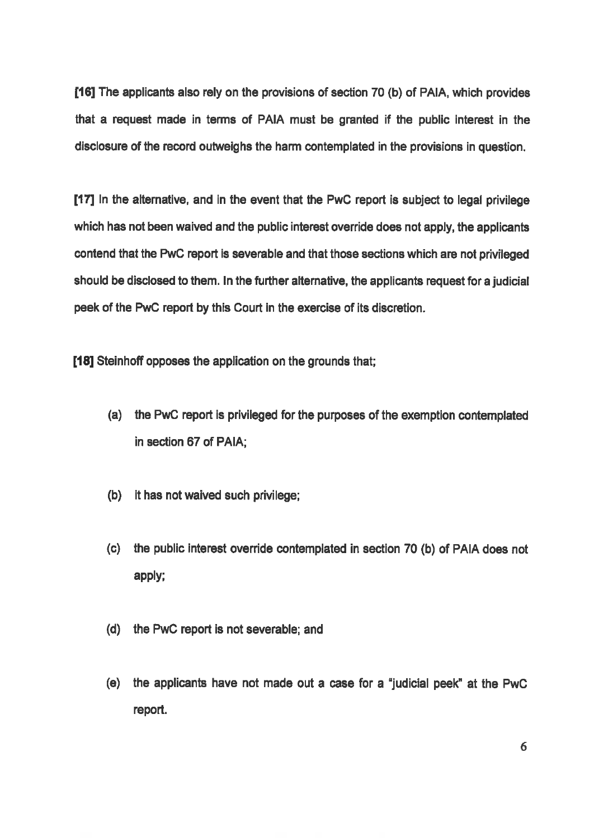[16] The applicants also rely on the provisions of section 70 (b) of PAIA, which provides that a request made in terms of PAIA must be granted if the public interest in the disclosure of the record outweighs the harm contemplated in the provisions in question.

[17] In the alternative, and in the event that the PwC report is subject to legal privilege which has not been waived and the public interest override does not apply, the applicants contend that the PwC report is severable and that those sections which are not privileged should be disclosed to them. In the further alternative, the applicants request fora judicial peek of the PwC report by this Court in the exercise of its discretion.

[18] Steinhoff opposes the application on the grounds that;

- (a) the PwC report is privileged for the purposes of the exemption contemplated in section 67 of PAIA;
- (b) it has not waived such privilege;
- (9) the public interest override contemplated in section 70 (b) of PAIA does not apply;
- (d) the PWC report is not severable; and
- (6) the applicants have not made out a case for a 'judicial peek' at the PWC report.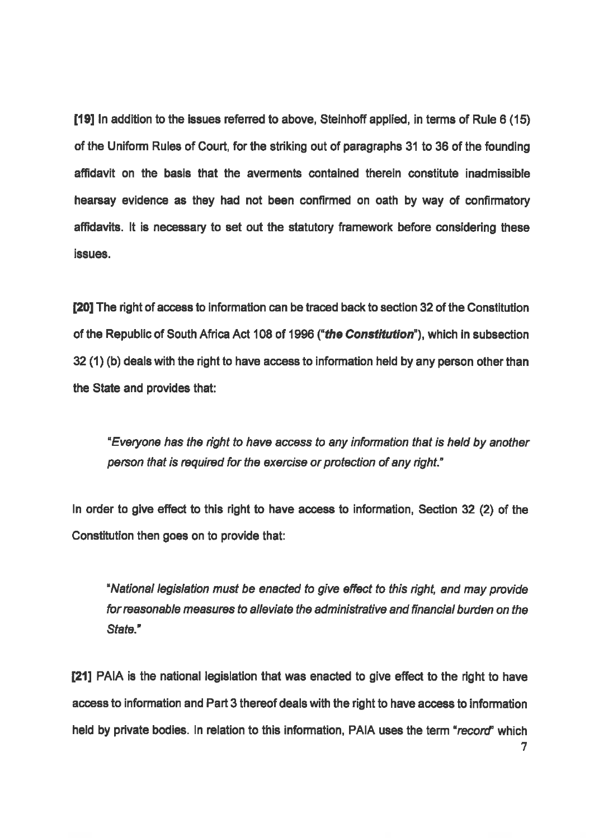[19] In addition to the issues referred to above, Steinhoff applied, in terms of Rule 8 (15) of the Uniform Rules of Court, for the striking out of paragraphs 31 to 36 of the founding affidavit on the basis that the averments contained therein constitute inadmissible hearsay evidence as they had not been confirmed on oath by way of confirnatory affidavits. It is necessary to set out the statutory framework before considering these issues.

[20] The right of access to information can be traced back to section 32 of the Constitution of the Republic of South Africa Act 108 of 1996 ("the Constitution"), which in subsection 32 (1) (b) deals with the right to have access to information held by any person other than the State and provides that:

"Everyone has the right to have access to any information that is held by another person that is required for the exercise or protection of any right."

In order to give effect to this right to have access to information, Section 32 (2) of the Constitution then goes on to provide that:

"National legislation must be enacted to give effect to this right, and may provide forreasonable measures to alleviate the administrative and financial burden on the State."

[21] PAIA is the national legislation that was enacted to give effect to the right to have access to information and Part 3 thereof deals with the right to have access to information held by private bodies. In relation to this information, PAIA uses the term "record" which<br>7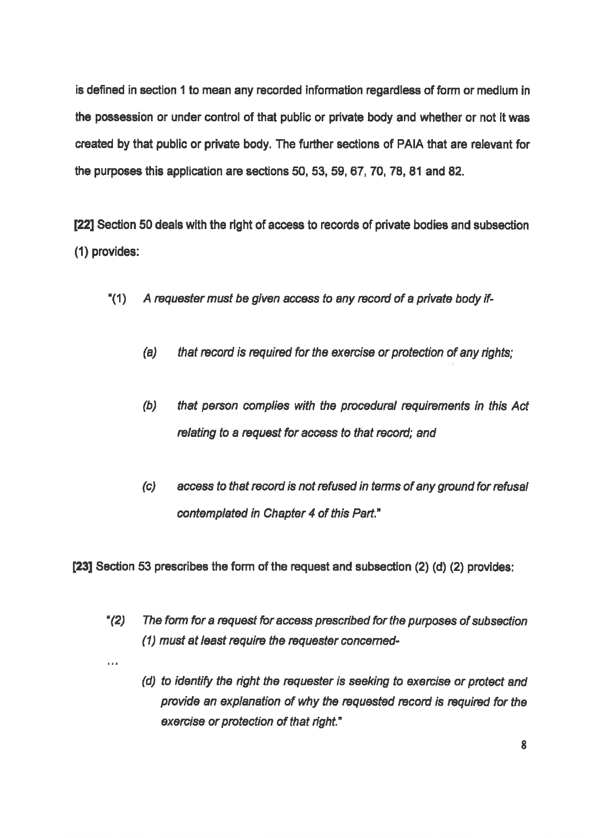is defined in section 1 to mean any recorded information regardless of form or medium in the possession or under control of that public or private body and whether or not it was created by that public or private body. The further sections of PAIA that are relevant for the purposes this application are sections 50, 53, 59, 67, 70, 78, 81 and 82.

22] Section 50 deals with the right of access to records of private bodies and subsection (1) provides:

- \*(1) A requester must be given access to any record of a private body if-
	- $(a)$  that record is required for the exercise or protection of any rights;
	- (b) that person complies with the procedural requirements in this Act relating to a request for access to that record; and
	- (c) access to that record is not refused in terms of any ground for refusal contemplated in Chapter 4 of this Part."

[23] Section 53 prescribes the form of the request and subsection (2) (d) (2) provides:

 $\ddot{\phantom{a}}$ 

- "(2) The form for a request for access prescribed for the purposes of subsection (1) mustat least require the requester concemed-
	- (d) to identify the right the requester is seeking to exercise or protect and provide an explanation of why the requested record is required for the exercise or protection of that right."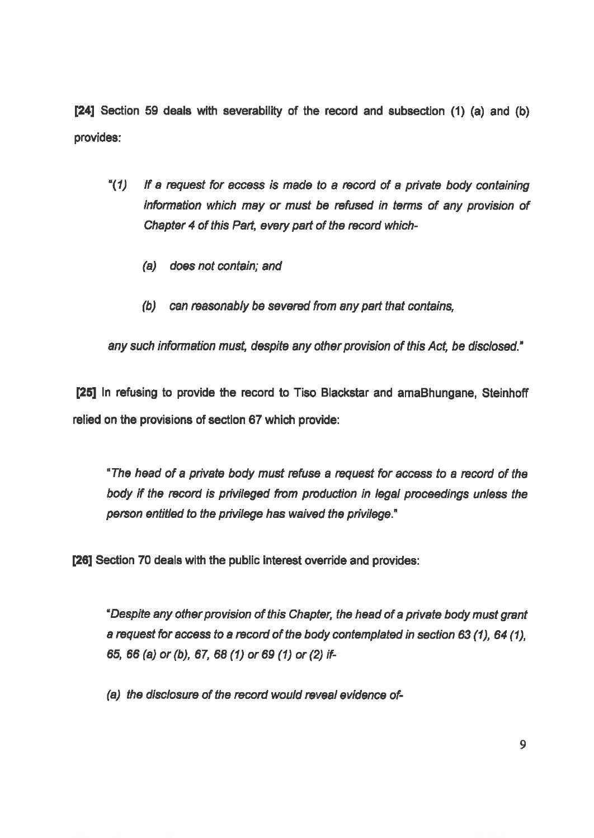[26] Section 59 deals with severabilty of the record and subsection (1) (a) and (b) provides:

- " $(1)$  If a request for access is made to a record of a private body containing information which may or must be refused in terms of any provision of<br>Chapter 4 of this Part, every part of the record which-
	- (a) does not contain; and
	- (6) can reasonably be severed fromany part that contains,

any such information must, despite any other provision of this Act, be disclosed."

[25] In refusing to provide the record to Tiso Blackstar and amaBhungane, Steinhoff relied on the provisions of section 67 which provide:

"The head of a private body must refuse a request for access to a record of the body if the record is privileged from production in legal proceedings unless the 'person entitled to the privilege has waived the privilege."

[26] Section 70 deals with the public interest override and provides:

"Despite any other provision of this Chapter, the head of a private body must grant request for access to a record of the body contemplated in section 63 (1), 64 (1), 64 (1), a request for access to a record of the body co<br>65, 66 (a) or (b), 67, 68 (1) or 69 (1) or (2) if-

(a) the disclosure of the record would reveal evidence of-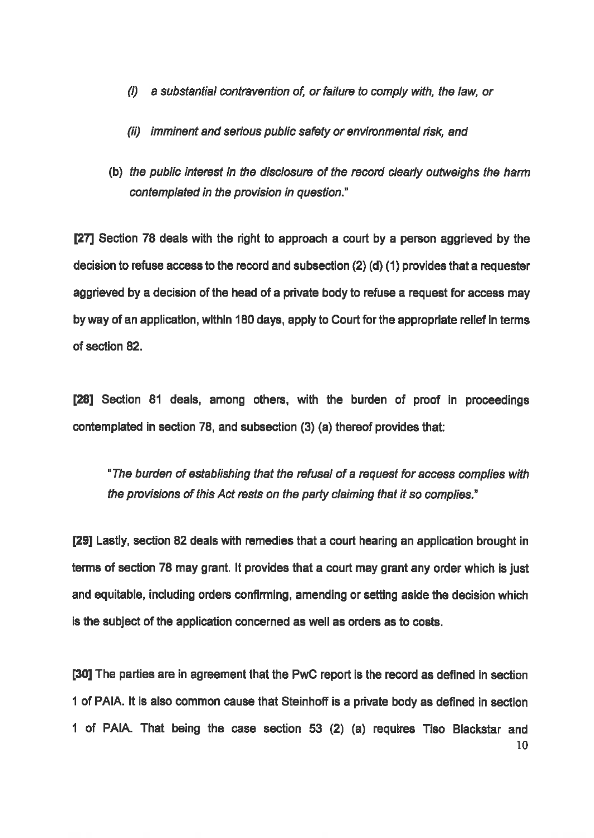- (i) a substantial contravention of, or failure to comply with, the law, or
- (i) imminent and serious public safety or environmental risk, and
- (b) the public interest in the disclosurs of the record clearly outweighs the harm contemplated in the provision in question."

[27] Section 78 deals with the right to approach a court by a person aggrieved by the decision to refuse access to the record and subsection  $(2)$  (d) (1) provides that a requester aggrieved by a decision of the head of a private body to refuse a request for access may by way of an application, within 180 days, apply to Court for the appropriate relief in terms. of section 82.

[28] Section 81 deals, among others, with the burden of proof in proceedings contemplated in section 78, and subsection (3) (a) thereof provides that:

"The burden of establishing that the refusal of a request for access complies with the provisions of this Act rests on the party claiming that it so complies."

[29] Lastly, section 82 deals with remedies that a court hearing an application brought in terms of section 78 may grant. It provides that a court may grant any order which is just and equitable, including orders confirming, amending or setting aside the decision which is the subject of the application concerned as well as orders as to costs.

[30] The parties are in agreement that the PwC report is the record as defined in section 1 of PAIA. It is also common cause that Steinhoff is a private body as defined in section <sup>1</sup> of PAIA. That being the case section 53 (2) (a) requires Tiso Blackstar and 10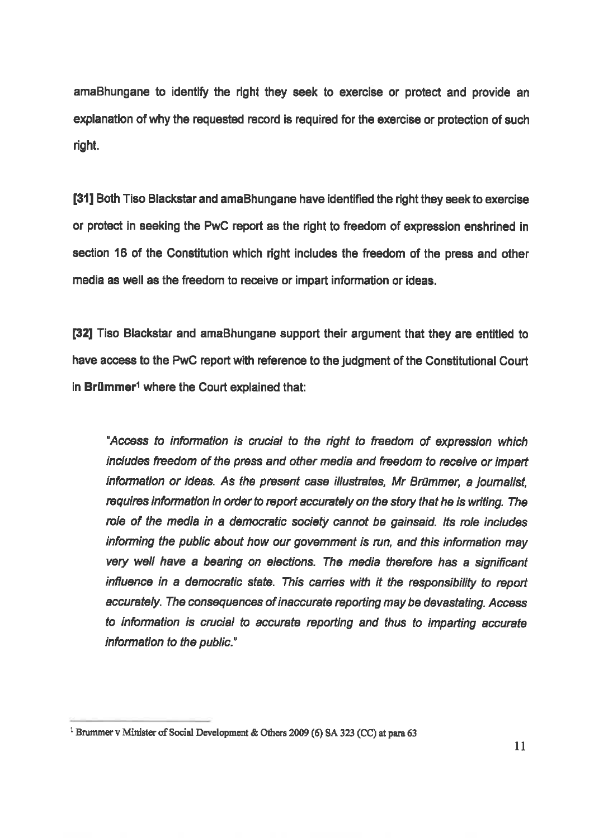'amaBhungane to identify the right they seek to exercise or protect and provide an explanation of why the requested record is required for the exercise or protection of such right

[31] Both Tiso Blackstar and amaBhungane have identified the right they seek to exercise or protect in seeking the PwC report as the right to freedom of expression enshrined in section 16 of the Constitution which right includes the freedom of the press and other media as well as the freedom to receive or impart information or ideas.

[32] Tiso Blackstar and amaBhungane support their argument that they are entitied to have access to the PwC report with reference to the judgment of the Constitutional Court in Brümmer<sup>1</sup> where the Court explained that:

\*Access to information is crucial to the right to freedom of expression which includes freedom of the press and other media and freedom to receive or impart<br>information or ideas. As the present case illustrates, Mr Brümmer, a journalist, requires information in order to report accurately on the story that he is writing. The role of the media in a democratic society cannot be gainsaid. Its role includes informing the public about how our government is run, and this information may<br>very well have a bearing on elections. The media therefore has a significant<br>influence in a democratic state. This carries with it the responsi to information is crucial to accurate reporting and thus to imparting acourate information to the public."

 $<sup>1</sup>$  Brummer v Minister of Social Development & Others 2009 (6) SA 323 (CC) at para 63</sup>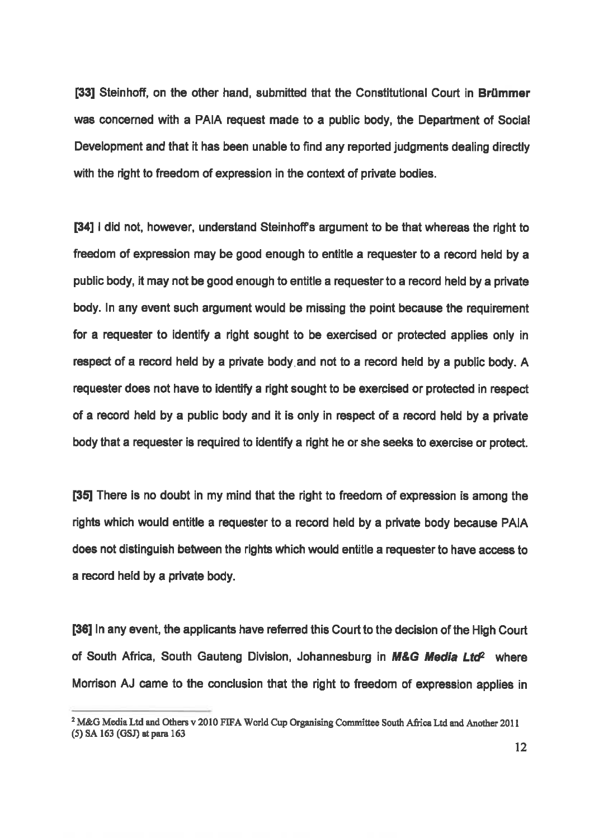[33] Steinhoff, on the other hand, submitted that the Constitutional Court in Brümmer was concerned with a PAIA request made to a public body, the Department of Social Development and that it has been unable to find any reported judgments dealing directly with the right to freedom of expression in the context of private bodies.

[34] I did not, however, understand Steinhoff's argument to be that whereas the right to freedom of expression may be good enough to entitle a requester to a record held by a public body, it may not be good enough to entitle a requester to a record held by a private body. In any event such argument would be missing the point because the requirement for a requester to identify a right sought to be exercised or protected applies only in respect of a record held by a private body and not to a record held by a public body. A requester does not have to identify a right sought to be exercised or protected in respect of a record held by a public body and it is only in respect of a record held by a private body that a requester is required to identify a right he or she seeks to exercise or protect.

[38] There is no doubt in my mind that the right to freedom of expression is among the rights which would entitle a requester to a record held by a private body because PAIA does not distinguish between the rights which would entitle a requester to have access to a record held by a private body.

[36] In any event, the applicants have referred this Court to the decision of the High Court of South Africa, South Gauteng Division, Johannesburg in M&G Media Ltd<sup>2</sup> where Morrison AJ came to the conclusion that the right to freedom of expression applies in

 $2$  M&G Media Ltd and Others v 2010 FIFA World Cup Organising Committee South Africa Ltd and Another 2011 (5) SA 163 (GSJ) at para 163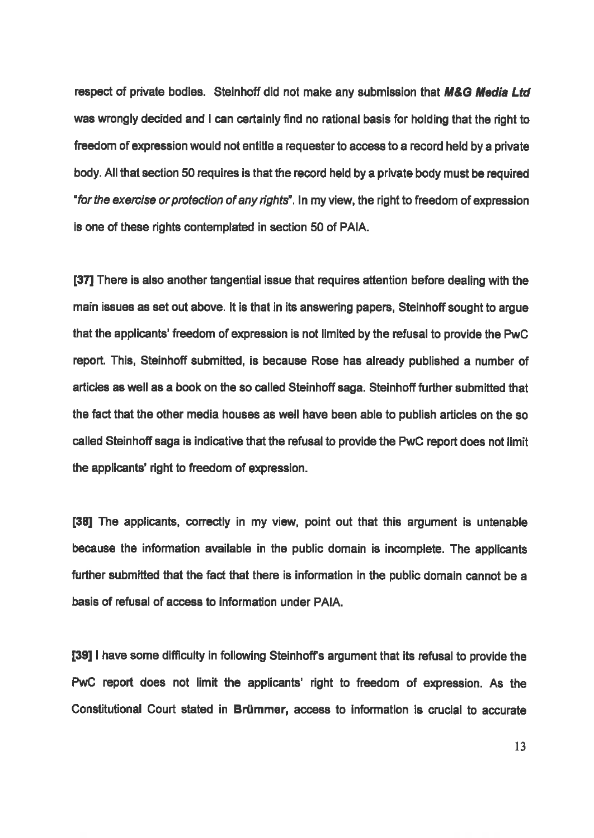respect of private bodies. Steinhoff did not make any submission that M&G Media Ltd was wrongly decided and I can certainly find no rational basis for holding that the right to freedomof expression would not entitle a requester to access to a record held by a private body. All that section 50 requires is that the record held by a private body must be required "for the exercise or protection of any rights". In my view, the right to freedom of expression is one of these rights contemplated in section 50 of PAIA.

[37] There is also another tangential issue that requires attention before dealing with the main issues as set out above. It is that in its answering papers, Steinhoff sought to argue that the applicants' freedom of expression is not limited by the refusal to provide the PwC report. This, Steinhoff submitted, is because Rose has already published a number of articles as well as a book on the so called Steinhoff saga. Steinhoff further submitted that the fact that the other media houses as well have been able to publish articles on the so called Steinhoff saga is indicative that the refusal to provide the PwC report does not limit the applicants' ight to freedom of expression.

[38] The applicants, correctly in my view, point out that this argument is untenable because the information available in the public domain is incomplete. The applicants further submitted that the fact that there is information in the public domain cannot be a basis of refusal of access to information under PAIA.

[39] I have some difficulty in following Steinhoff's argument that its refusal to provide the PWC report does not limit the applicants' right to freedom of expression. As the Constitutional Court stated in Briimmer, access to information is crucial to accurate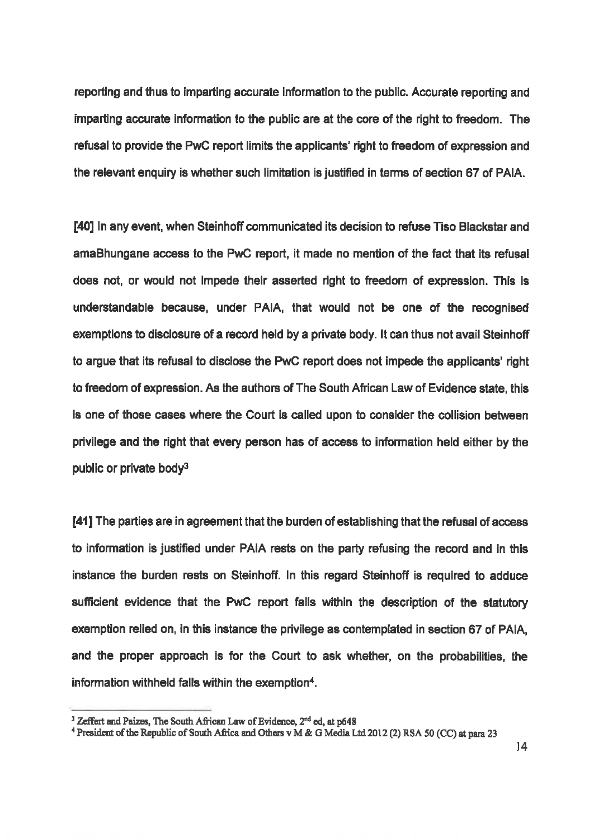reporting and thus to imparting accurate information to the public. Accurate reporting and imparting accurate information to the public are at the core of the right to freedom. The refusal to provide the PwC report limits the applicants' right to freedom of expression and the relevant enquiry is whether such limitation is justified in terms of section 67 of PAIA.

140] In any event, when Steinhoff communicated its decision to refuse Tiso Blackstar and amaBhungane access to the PwC report, it made no mention of the fact that its refusal does not, or would not impede their asserted right to freedom of expression. This is understandable because, under PAIA, that would not be one of the recognised exemptions to disclosure of a record held by a private body. It can thus not avail Steinhoff to argue that its refusal to disclose the PWC report does not impede the applicants' right to freedom of expression. As the authors of The South African Law of Evidence state, this is one of those cases where the Court is called upon to consider the collision between privilege and the right that every person has of access to information held either by the public or private body?

[41] The parties are in agreement that the burden of establishing that the refusal of access to information is justified under PAIA rests on the party refusing the record and in this instance the burden rests on Steinhoff. In this regard Steinhoff is required to adduce sufficient evidence that the PWC report falls within the description of the statutory exemption relied on, in this instance the privilege as contemplated in section 67 of PAIA, and the proper approach is for the Court to ask whether, on the probabilties, the information withheld falls within the exemption<sup>4</sup>.

<sup>&</sup>lt;sup>3</sup> Zeffert and Paizes, The South African Law of Evidence,  $2^{nd}$  ed, at p648 "President of the Republic of South Africa and Others v M & G Media Ltd 2012 (2) RSA 50 (CC) at para 23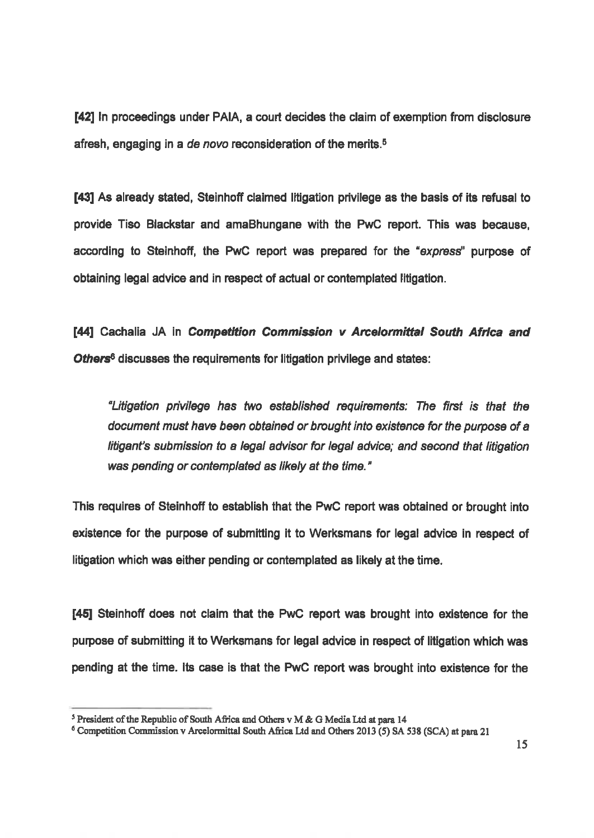142] In proceedings under PAIA, a court decides the claimofexemption from disclosure afresh, engaging in a de novo reconsideration of the merits.<sup>5</sup>

[43] As already stated, Steinhoff claimed litigation privilege as the basis of its refusal to provide Tiso Blackstar and amaBhungane with the PWC report. This was because, according to Steinhoff, the PWC report was prepared for the "express" purpose of obtaining legal advice and in respect of actual or contemplated litigation.

[44] Cachalia JA in Competition Commission v Arcelormittal South Africa and Others<sup>8</sup> discusses the requirements for litigation privilege and states:

"Litigation privilege has two. established requirements: The first is that the document must have been obtained or brought into existence for the purpose of a litigant's submission to a legal advisor for legal advice; and second that litigation was pending or contemplated as likely at the time."

This requires of Steinhoff to establish that the PwC report was obtained or brought into existence for the purpose of submitting it to Werksmans for legal advice in respect of litigation which was either pending or contemplated as likely at the time.

[45] Steinhoff does not claim that the PWC report was brought into existence for the purpose of submitting it to Werksmans for legal advice in respect of litigation which was pending at the time. Its case is that the PWC report was brought into existence for the

<sup>&</sup>lt;sup>5</sup> President of the Republic of South Africa and Others v M & G Media Ltd at para 14

 $6$  Competition Commission v Arcelormittal South Africa Ltd and Others 2013 (5) SA 538 (SCA) at para 21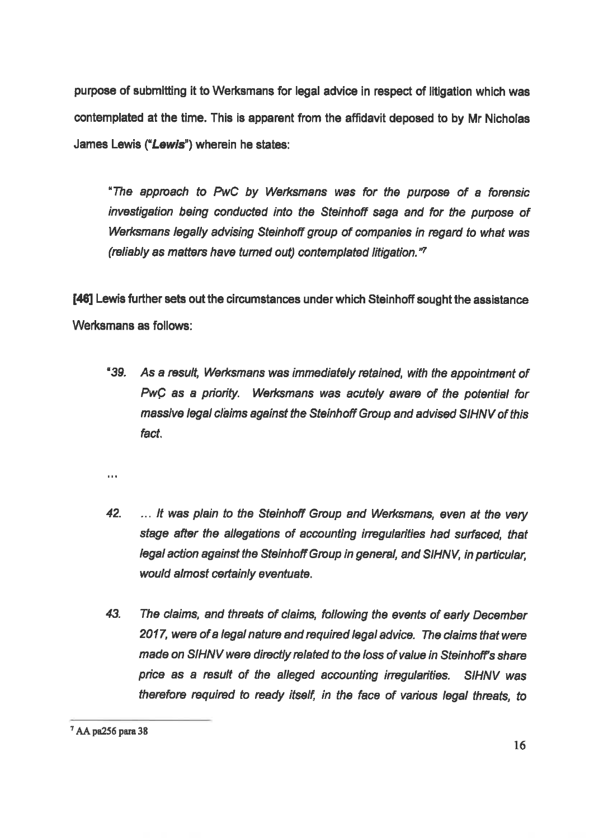purpose of submitting it to Werksmans for legal advice in respect of litigation which was. contemplated at the time. This is apparent from the affidavit deposed to by Mr Nicholas. James Lewis ("Lewis") wherein he states:

"The approach to PwC by Werksmans was for the purpose of a forensic investigation being conducted into the Steinhoff saga and for the purpose of Werksmans legally advising Steinhoff group of companies in regard to what was (reliably as matters have turned out) contemplated litigation." $7$ 

[46] Lewis further sets out the circumstances under which Steinhoff sought the assistance Werksmans as follows:

\*39. As a result, Werksmans was immediately retained, with the appointment of<br>PwC as a priority. Werksmans was acutely aware of the potential for<br>massive legal claims against the Steinhoff Group and advised SIHNV of this fact.

 $\mathbf{r}$ 

- 42. It was plain to the Steinhoff Group and Werksmans, even at the very stage after the allegations of accounting irregularities had surfaced, that legal action against the Steinhoff Group in general, and SIHNV, in particu would almost certainly eventuate.
- 43. The claims, and threats of claims, following the events of early December<br>2017, were of a legal nature and required legal advice. The claims that were<br>made on SIHNV were directly related to the loss of value in Steinho

 $7$  AA pa256 para 38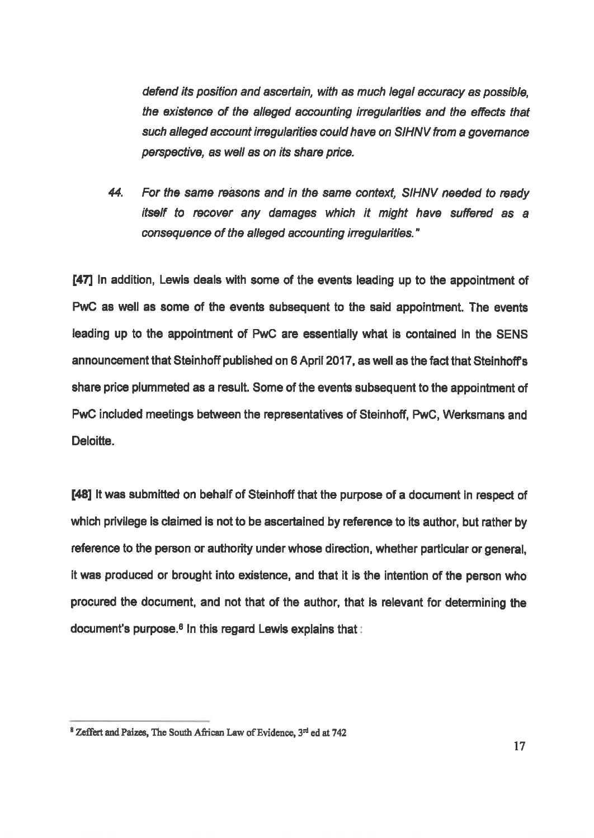defend its position and ascertain, with as much legal accuracy as possible,<br>the existence of the alleged accounting irregularities and the effects that such alleged account irregularities could have on SIHNV from a governance perspective, as well as on its share price.

44. For the same reasons and in the same context. SIHNV needed to ready itself to recover any damages which it might have suffered as a consequence of the alleged accounting irregularities."

[47] In addition, Lewis deals with some of the events leading up to the appointment of PWC as well as some of the events subsequent to the said appointment. The events leading up to the appointment of PWC are essentially what is contained in the SENS announcement that Steinhoff published on 6 April 2017, as well as the fact that Steinhoff's share price plummeted as a result. Some of the events subsequent to the appointment of PwC included meetings between the representatives of Steinhoff, PWC, Werksmans and Deloitte.

[48] It was submitted on behalf of Steinhoff that the purpose of a document in respect of which privilege is claimed is not to be ascertained by reference to its author, but rather by reference to the person or authority under whose direction, whether particular or general, It was produced or brought into existence, and that it is the intention of the person who procured the document, and not that of the author, that is relevant for determining the document's purpose. $8 \ln$  this regard Lewis explains that:

 $^8$  Zeffert and Paizes, The South African Law of Evidence,  $3<sup>rd</sup>$  ed at 742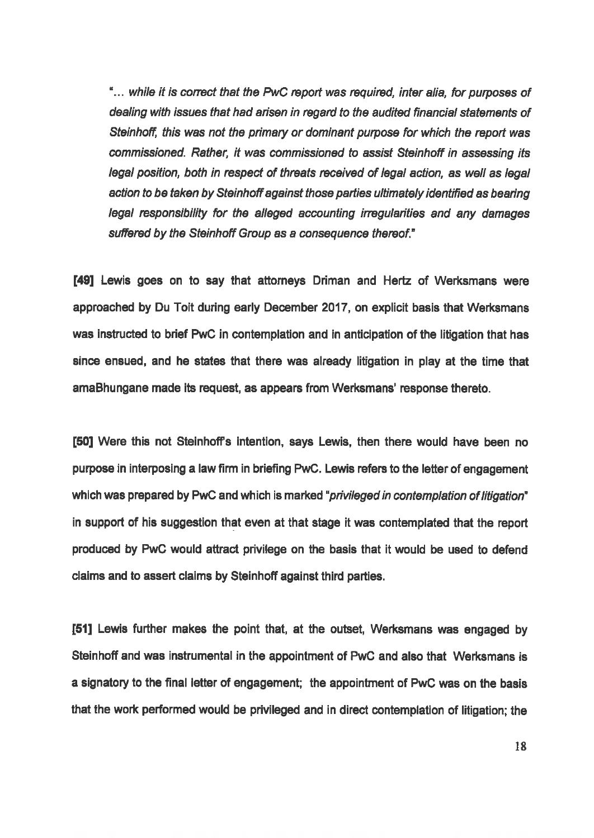"... while it is correct that the PwC report was required, inter alia, for purposes of dealing with issues that had arisen in regard to the audited financial statements of<br>Steinhoff, this was not the primary or dominant purpose for which the report was commissioned. Rather, it was commissioned to assist Steinhoff in assessing ifs legal position, both in respect of threats received of legal action, as well as legal action to be taken by Steinhoff against those parties ultimately identified as bearing legal responsibility for the alleged accounting irregularities and any damages suffered by the Steinhoff Group as a consequence thereof."

[49] Lewis goes on to say that attomeys Driman and Hertz of Werksmans were approached by Du Toit during early December 2017, on explicit basis that Werksmans was instructed to brief PwC in contemplation and in anticipation of the litigation that has since ensued, and he states that there was already litigation in play at the time that amaBhungane made its request, as appears from Werksmans' response thereto.

[50] Were this not Steinhoff's intention, says Lewis, then there would have been no purpose in interposing a law firm in briefing PwC. Lewis refers to the letter of engagement which was prepared by PwC and which is marked "*privileged in contemplation of litigation*" in support of his suggestion that even at that stage it was contemplated that the report produced by PWC would atiract privilege on the basis that it would be used to defend claims and to assert claims by Steinhoff against third parties.

[51] Lewis further makes the point that, at the outset, Werksmans was engaged by Steinhoff and was instrumental in the appointment of PWC and also that Werksmans is a signatory to the final letter of engagement; the appointment of PwC was on the basis that the work performed would be privileged and in direct contemplation of tigation; the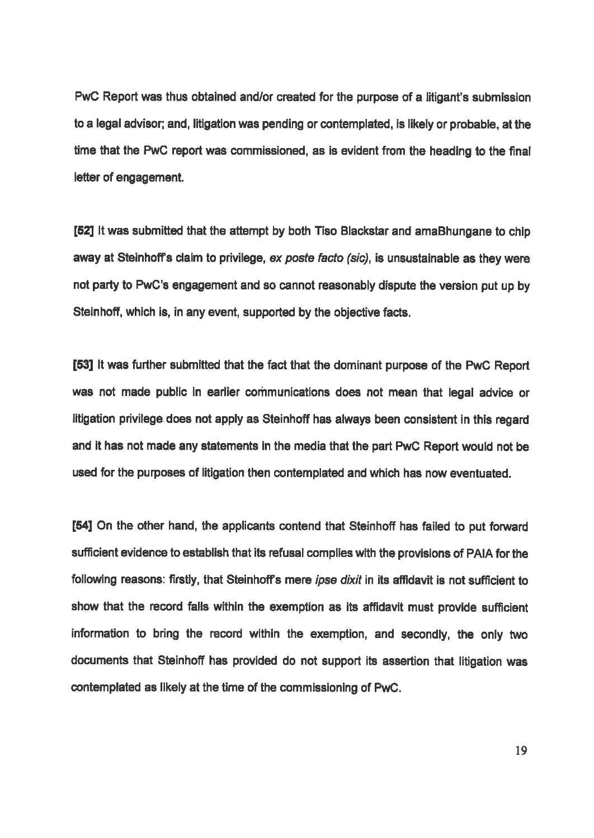PwC Report was thus obtained and/or created for the purpose of a litigant's submission to a legal advisor; and, litigation was pending or contemplated, is likely or probable, at the. time that the PwC report was commissioned, as is evident from the heading to the final letter of engagement.

[52] It was submitted that the attempt by both Tiso Blackstar and amaBhungane to chip away at Steinhoff's claim to privilege, ex poste facto (sic), is unsustainable as they were not party to PwC's engagement and so cannot reasonably dispute the version put up by Steinhoff, which is, in any event, supported by the objective facts.

[53] It was further submitted that the fact that the dominant purpose of the PwC Report was not made public in earlier communications does not mean that legal advice or litigation privilege does not apply as Steinhoff has always been consistent in this regard and it has not made any statements in the media that the part PWC Report would not be used for the purposes of litigation then contemplated and which has now eventuated.

[54] On the other hand, the applicants contend that Steinhoff has failed to put forward sufficient evidence to establish that its refusal complies with the provisions of PAIA for the following reasons: firstly, that Steinhoff's mere *ipse dixit* in its affidavit is not sufficient to show that the record falls within the exemption as its affidavit must provide sufficient information to bring the record within the exemption, and secondly, the only two documents that Steinhoff has provided do not support its assertion that litigation was contemplated as likely at the time of the commissioning of PwC.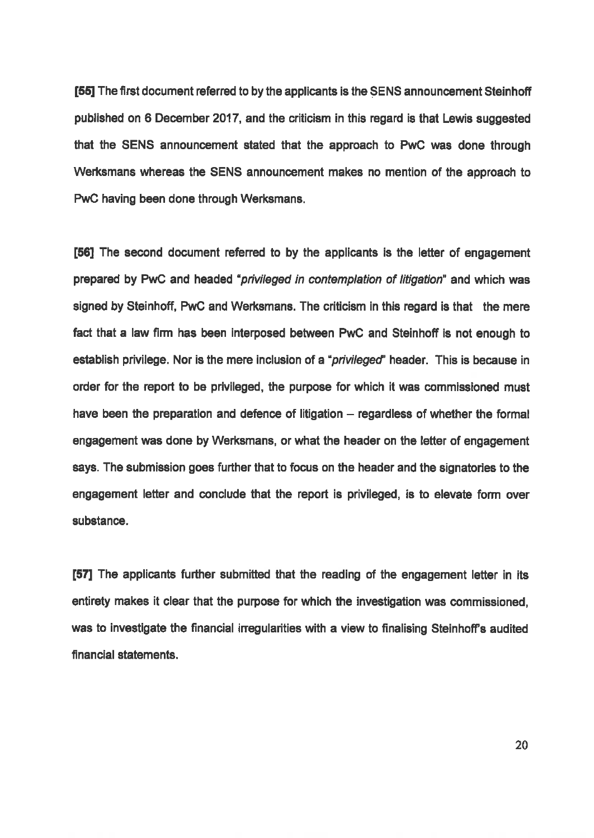[55] The first document referred to by the applicants is the SENS announcement Steinhoff published on 6 December 2017, and the criticism in this regard is that Lewis suggested that the SENS announcement stated that the approach to PwC was done through Werksmans whereas the SENS announcement makes no mention of the approach to PWC having been done through Werksmans.

[56] The second document referred to by the applicants is the letter of engagement prepared by PWC and headed "privileged in contemplation of litigation" and which was signed by Steinhoff, PWC and Werksmans. The criticism in this regard is that the mere fact that a law firm has been interposed between PwC and Steinhoff is not enough to establish privilege. Nor is the mere inclusion of a "privileged" header. This is because in order for the report to be privileged, the purpose for which it was commissioned must have been the preparation and defence of litigation  $-$  regardless of whether the formal engagement was done by Werksmans, or what the header on the letter of engagement says. The submission goes further that to focus on the header and the signatories to the engagement letter and conclude that the report is privileged, is to elevate form over substance.

[57] The applicants further submitted that the reading of the engagement letter in its entirety makes it clear that the purpose for which the investigation was commissioned, was to investigate the financial irregularities with a view to finalising Steinhoff's audited financial statements.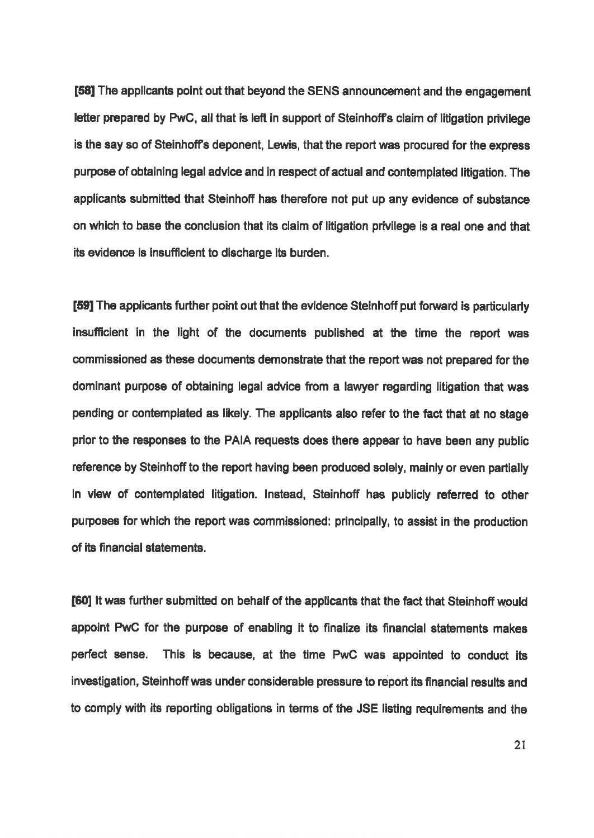[58] The applicants point out that beyond the SENS announcement and the engagement letter prepared by PwC, all that is left in support of Steinhoff's claim of litigation privilege is the say so of Steinhoff's deponent, Lewis, that the report was procured for the express purpose of obtaining legal advice and in respect of actual and contemplated litigation. The applicants submitted that Steinhoff has therefore not put up any evidence of substance on which to base the conclusion that its claim of tigation privilege is a real one and that its evidence is insufficient to discharge its burden.

[59] The applicants further point out that the evidence Steinhoff put forward is particularly insufficient in the light of the documents published at the time the report was commissioned as these documents demonstrate that the report was not prepared for the 'dominant purpose of obtaining legal advice from a lawyer regarding ligation that was pending or contemplated as likely. The applicants also refer to the fact that at no stage prior to the responses to the PAIA requests does there appear to have been any public reference by Steinhoff to the report having been produced solely, mainly or even partially in view of contemplated litigation. Instead, Steinhoff has publicly referred to other purposes for which the report was commissioned: principally, to assist in the production of its financial statements.

[60] It was further submitted on behalf of the applicants that the fact that Steinhoff would appoint PwC for the purpose of enabling it to finalize its financial statements makes perfect sense. This is because, at the time PWC was appointed to conduct its investigation, Steinhoff was under considerable pressure to report its financial results and to comply with its reporting obligations in terms of the JSE listing requirements and the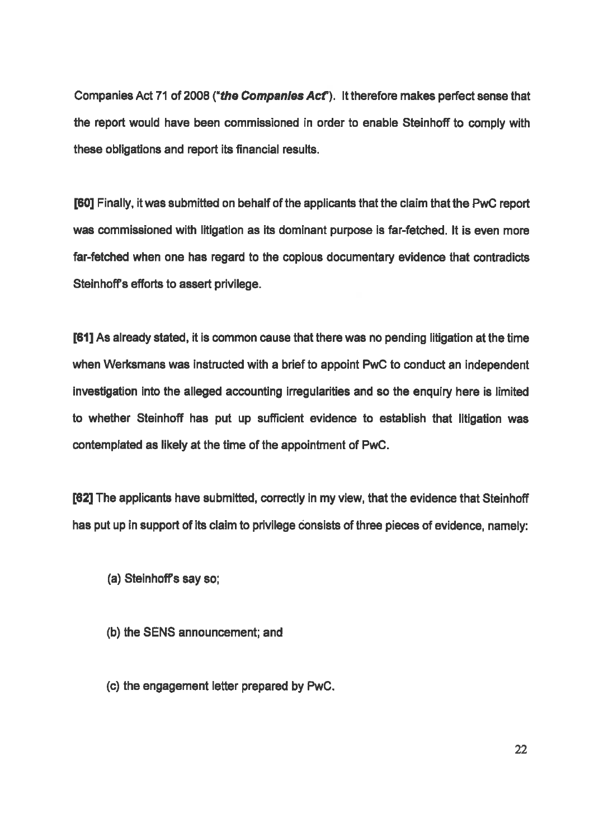Companies Act 71 of 2008 ("the Companies Act"). It therefore makes perfect sense that the report would have been commissioned in order to enable Steinhoff to comply with these obligations and report is financial results.

[60] Finally, it was submitted on behalf of the applicants that the claim that the PwC report 'was commissioned with litigation as its dominant purpose is far-fetched. It is even more far-fetched when one has regard to the copious documentary evidence that contradicts Steinhoff's efforts to assert privilege.

[61] As already stated, it is common cause that there was no pending litigation at the time. when Werksmans was instructed with a brief to appoint PwC to conduct an independent investigation into the alleged accounting irregularities and so the enquiry here is limited to whether Steinhoff has put up sufficient evidence to establish that litigation was contemplated as likely at the time of the appointment of PwC.

162] The applicants have submitted, correctly in my view, that the evidence that Steinhoff has put up in support of its claim to privilege consists of three pieces of evidence, namely:

- (a) Steinhoff's say so;
- (b) the SENS announcement, and
- (©) the engagement letter prepared by PWC.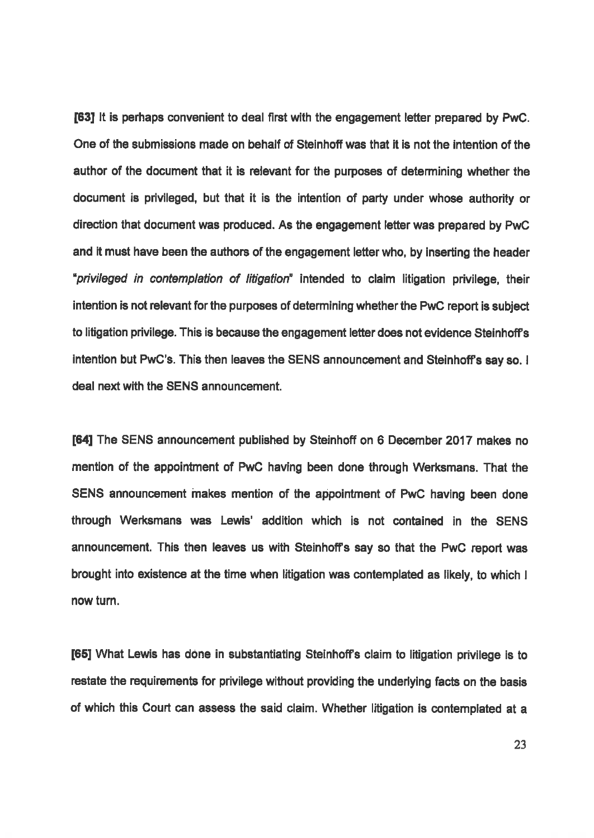[83] Itis perhaps convenient to deal first with the engagement letter prepared by PWC. One of the submissions made on behalf of Steinhoff was that it is not the intention of the author of the document that it is relevant for the purposes of determining whether the document is privileged, but that it is the intention of party under whose authority or direction that document was produced. As the engagement letter was prepared by PWC and it must have been the authors of the engagement letter who, by inserting the header "privileged in contemplation of litigation" intended to claim ligation privilege, their intention is not relevant for the purposes of determining whether the PwC report is subject to litigation privilege. This is because the engagement letter does not evidence Steinhoff's intention but PwC's. This then leaves the SENS announcement and Steinhoff's say so. I deal next with the SENS announcement.

[84] The SENS announcement published by Steinhoff on 6 December 2017 makes no mention of the appointment of PWC having been done through Werksmans. That the SENS announcement makes mention of the appointment of PWC having been done through Werksmans was Lewis' addition which is not contained in the SENS announcement. This then leaves us with Steinhoffs say so that the PWC report was brought into existence at the time when litigation was contemplated as likely, to which <sup>|</sup> now turn.

[65] What Lewis has done in substantiating Steinhoff's claim to litigation privilege is to restate the requirements for privilege without providing the underlying facts on the basis of which this Court can assess the said claim. Whether liigation is contemplated at a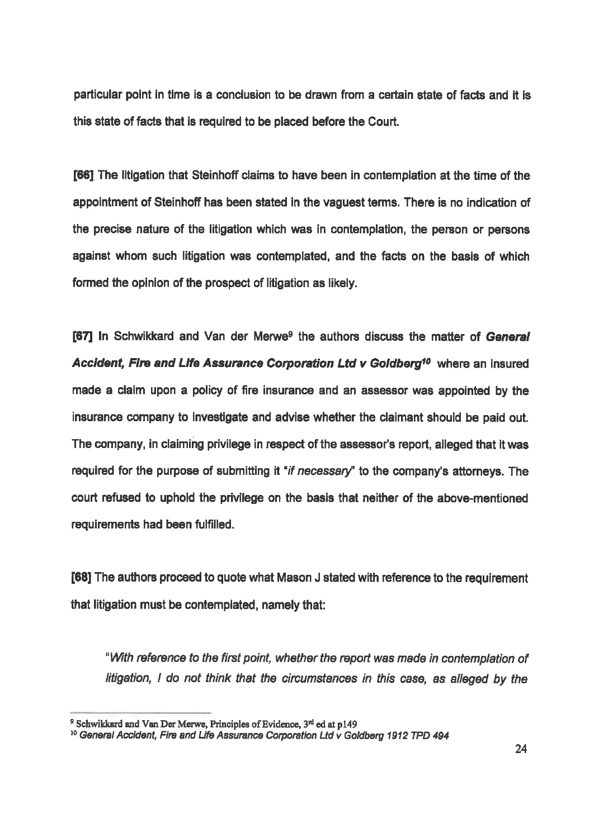particular point in time is a conclusion to be drawn from a certain state of facts and it is this state of facts that is required to be placed before the Court.

**[66]** The litigation that Steinhoff claims to have been in contemplation at the time of the appointment of Steinhoff has been stated in the vaguest terms. There is no indication of the precise nature of the ligation which was in contemplation, the person or persons against whom such ligation was contemplated, and the facts on the basis of which formed the opinion of the prospect of litigation as likely.

[67] In Schwikkard and Van der Merwe<sup>9</sup> the authors discuss the matter of General Accident, Fire and Life Assurance Corporation Ltd v Goldberg<sup>10</sup> where an insured made a claim upon a policy of fire insurance and an assessor was appointed by the insurance company to investigate and advise whether the claimant should be paid out. The company, in claiming privilege in respect of the assessor's report, alleged that it was required for the purpose of submitting it "if necessary" to the company's attorneys. The court refused to uphold the privilege on the basis that neither of the above-mentioned requirements had been fulfilled.

168] The authors proceed to quote what Mason J stated with reference to the requirement that ligation must be contemplated, namely that:

"With reference to the first point, whether the report was made in contemplation of litigation, I do not think that the circumstances in this case, as alleged by the

<sup>&</sup>lt;sup>9</sup> Schwikkard and Van Der Merwe, Principles of Evidence,  $3<sup>rd</sup>$  ed at p149<br><sup>10</sup> General Accident, Fire and Life Assurance Corporation Ltd v Goldberg 1912 TPD 494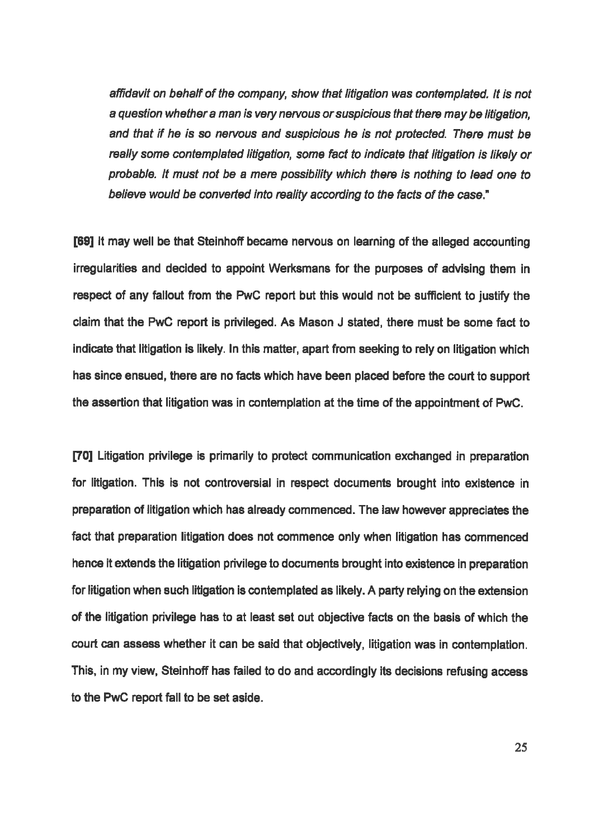affidavit on behalf of the company, show that litigation was contemplated. It is not affidavit on behalf of the company, show that litigation was contemplated. It is not<br>a question whether a man is very nervous or suspicious that there may be litigation. and that if he is so nervous and suspicious he is not protected. There must be really some contemplated litigation, some fact to indicate that litigation is likely or probable. It must not be a mere possibility which there is nothing to lead one to believe would be converted into reality according to the facts of the case."

[69] It may well be that Steinhoff became nervous on learning of the alleged accounting irregularities and decided to appoint Werksmans for the purposes of advising them in respect of any fallout from the PwC report but this would not be sufficient to justify the claim that the PWC report is privileged. As Mason <sup>J</sup> stated, there must be some fact to indicate that litigation is likely. In this matter, apart from seeking to rely on litigation which has since ensued, there are no facts which have been placed before the court to support the assertion that litigation was in contemplation at the time of the appointment of PwC.

[70] Litigation privilege is primarily to protect communication exchanged in preparation for litigation. This is not controversial in respect documents brought into existence in preparation of litigation which has already commenced. The law however appreciates the fact that preparation litigation does not commence only when litigation has commenced hence it extends the litigation privilege to documents brought into existence in preparation for litigation when such litigation is contemplated as likely. A party relying on the extension of the litigation privilege has to at least set out objective facts on the basis of which the 'court can assess whether it can be said that objectively, ligation was in contemplation. 'This, in my view, Steinhoff has failed to do and accordingly its decisions refusing access to the PwC report fall to be set aside.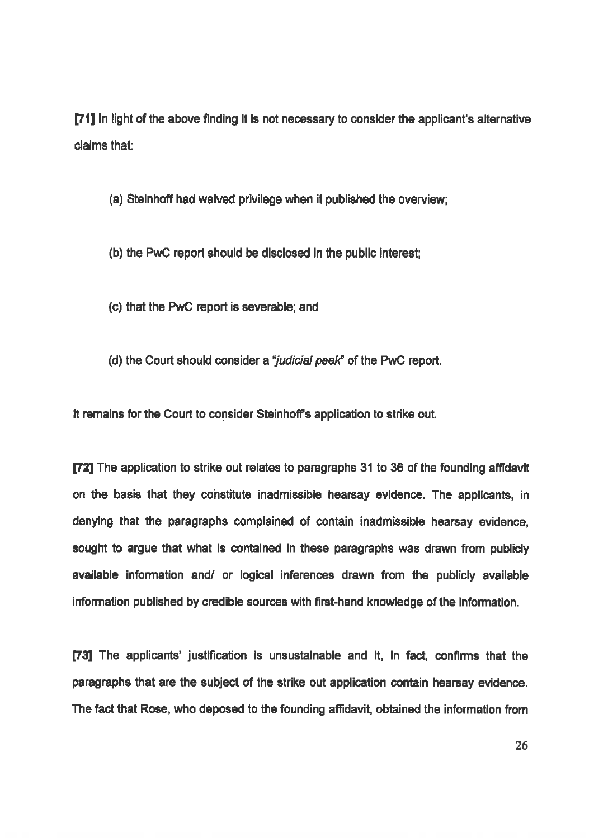[71] In light of the above finding it is not necessary to consider the applicant's alternative claims that

(a) Steinhoff had waived privilege when it published the overview;

(b) the PWC report should be disclosed in the public interest;

(0) that the PWC report is severable; and

(d) the Court should consider a "judicial peek" of the PwC report.

It remains for the Court to consider Steinhoff's application to strike out.

[72] The application to strike out relates to paragraphs 31 to 36 of the founding affidavit on the basis that they constitute inadmissible hearsay evidence. The applicants, in denying that the paragraphs complained of contain inadmissible hearsay evidence, sought to argue that what is contained in these paragraphs was drawn from publicly available information and/ or logical inferences drawn from the publicly available information published by credible sources with first-hand knowledge of the information.

[73] The applicants' justification is unsustainable and it, in fact, confirms that the paragraphs that are the subject of the strike out application contain hearsay evidence. 'The fact that Rose, who deposed to the founding affidavit, obtained the information from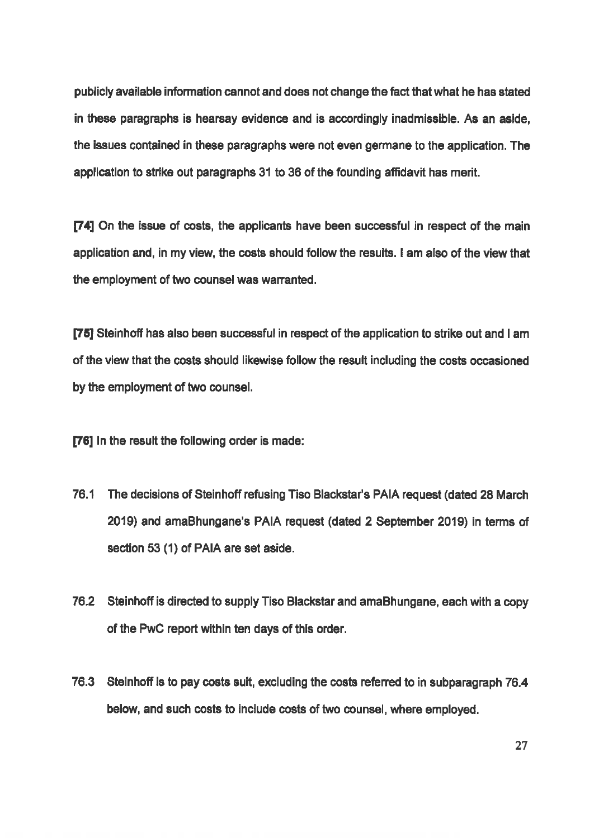publicly available information cannot and does not change thefactthatwhat he has stated in these paragraphs is hearsay evidence and is accordingly inadmissible. As an aside, the issues contained in these paragraphs were not even germane to the application. The application to strike out paragraphs 31 to 36of the founding affidavit has merit.

[74] On the issue of costs, the applicants have been successful in respect of the main application and, in my view, the costs should follow the results. I am also of the view that the employment of two counsel was warranted.

[75] Steinhoff has also been successful in respect of the application to strike out and I am of the view that the costs should likewise follow the result including the costs occasioned by the employment of two counsel.

[76] In the result the following order is made:

- 76.1 The decisions of Steinhoff refusing Tiso Blackstar's PAIA request (dated 28 March 2019) and amaBhungane's PAIA request (dated <sup>2</sup> September 2018) in terms of section 53 (1) of PAIA are set aside.
- 762 Steinhoffis directed to supply Tiso Blackstar and amaBhungane, each with a copy of the PwC report within ten days of this order.
- 76.3 Steinhoff is to pay costs suit, excluding the costs referred to in subparagraph 76.4 below, and such costs to include costs of two counsel, where employed.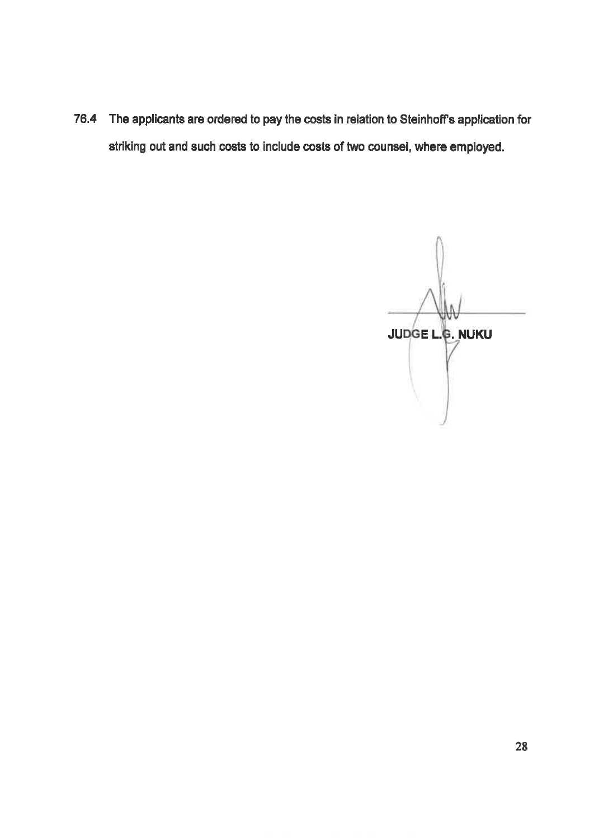76.4 The applicants are ordered to pay the costs in relation to Steinhoff's application for striking out and such costs to include costs of two counsel, where employed.

 $\wedge$ ll **JUDGE L.G. NUKU**